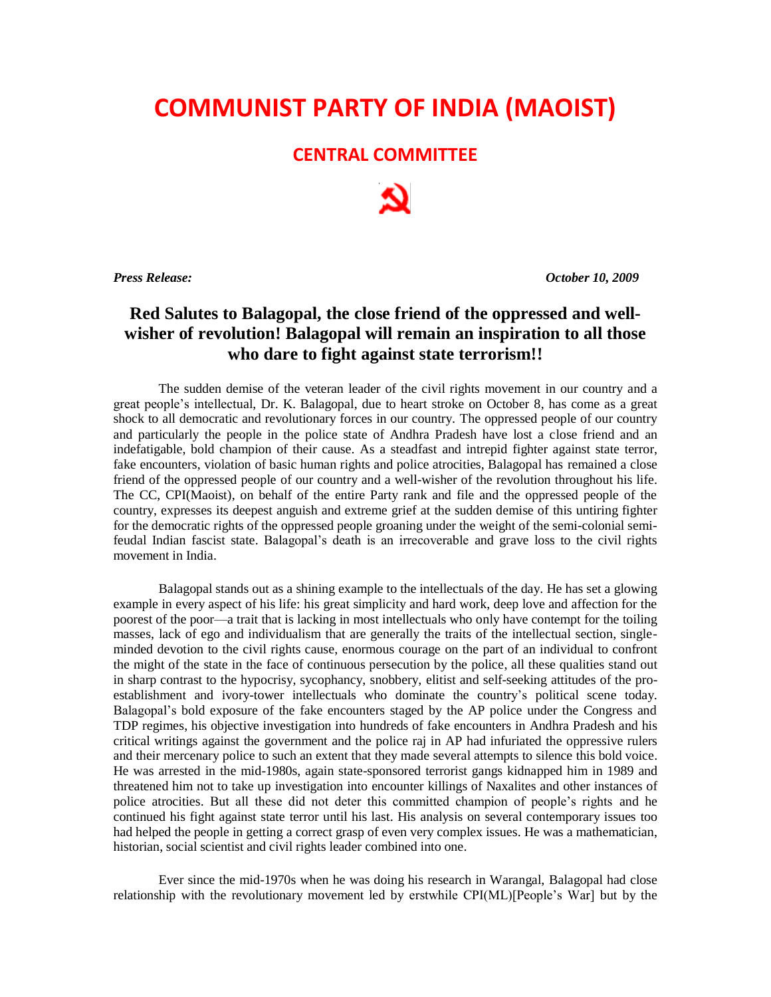## **COMMUNIST PARTY OF INDIA (MAOIST)**

## **CENTRAL COMMITTEE**

*Press Release: October 10, 2009*

## **Red Salutes to Balagopal, the close friend of the oppressed and wellwisher of revolution! Balagopal will remain an inspiration to all those who dare to fight against state terrorism!!**

The sudden demise of the veteran leader of the civil rights movement in our country and a great people's intellectual, Dr. K. Balagopal, due to heart stroke on October 8, has come as a great shock to all democratic and revolutionary forces in our country. The oppressed people of our country and particularly the people in the police state of Andhra Pradesh have lost a close friend and an indefatigable, bold champion of their cause. As a steadfast and intrepid fighter against state terror, fake encounters, violation of basic human rights and police atrocities, Balagopal has remained a close friend of the oppressed people of our country and a well-wisher of the revolution throughout his life. The CC, CPI(Maoist), on behalf of the entire Party rank and file and the oppressed people of the country, expresses its deepest anguish and extreme grief at the sudden demise of this untiring fighter for the democratic rights of the oppressed people groaning under the weight of the semi-colonial semifeudal Indian fascist state. Balagopal's death is an irrecoverable and grave loss to the civil rights movement in India.

Balagopal stands out as a shining example to the intellectuals of the day. He has set a glowing example in every aspect of his life: his great simplicity and hard work, deep love and affection for the poorest of the poor—a trait that is lacking in most intellectuals who only have contempt for the toiling masses, lack of ego and individualism that are generally the traits of the intellectual section, singleminded devotion to the civil rights cause, enormous courage on the part of an individual to confront the might of the state in the face of continuous persecution by the police, all these qualities stand out in sharp contrast to the hypocrisy, sycophancy, snobbery, elitist and self-seeking attitudes of the proestablishment and ivory-tower intellectuals who dominate the country's political scene today. Balagopal's bold exposure of the fake encounters staged by the AP police under the Congress and TDP regimes, his objective investigation into hundreds of fake encounters in Andhra Pradesh and his critical writings against the government and the police raj in AP had infuriated the oppressive rulers and their mercenary police to such an extent that they made several attempts to silence this bold voice. He was arrested in the mid-1980s, again state-sponsored terrorist gangs kidnapped him in 1989 and threatened him not to take up investigation into encounter killings of Naxalites and other instances of police atrocities. But all these did not deter this committed champion of people's rights and he continued his fight against state terror until his last. His analysis on several contemporary issues too had helped the people in getting a correct grasp of even very complex issues. He was a mathematician, historian, social scientist and civil rights leader combined into one.

Ever since the mid-1970s when he was doing his research in Warangal, Balagopal had close relationship with the revolutionary movement led by erstwhile CPI(ML)[People's War] but by the